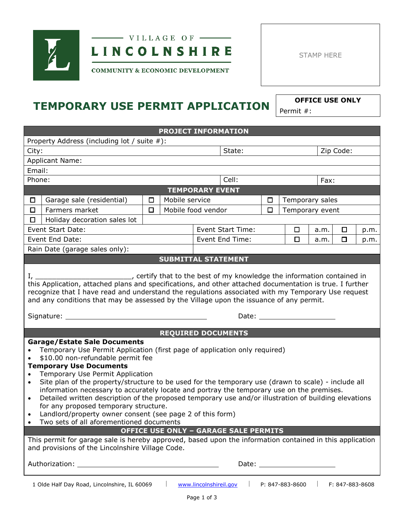

## $-$  VILLAGE OF  $-$ **LINCOLNSHIRE**

STAMP HERE

**COMMUNITY & ECONOMIC DEVELOPMENT** 

# **TEMPORARY USE PERMIT APPLICATION OFFICE USE ONLY**

Permit #:

| <b>PROJECT INFORMATION</b>                                                                                                                                                                                                                                                                                                                                                                                                                                                                                                                                                                                                                                                                                                                                                                                                                                                                                                                                         |                                                                                                                                                                                                                                |        |                |                            |        |                 |           |        |      |
|--------------------------------------------------------------------------------------------------------------------------------------------------------------------------------------------------------------------------------------------------------------------------------------------------------------------------------------------------------------------------------------------------------------------------------------------------------------------------------------------------------------------------------------------------------------------------------------------------------------------------------------------------------------------------------------------------------------------------------------------------------------------------------------------------------------------------------------------------------------------------------------------------------------------------------------------------------------------|--------------------------------------------------------------------------------------------------------------------------------------------------------------------------------------------------------------------------------|--------|----------------|----------------------------|--------|-----------------|-----------|--------|------|
| Property Address (including lot / suite #):                                                                                                                                                                                                                                                                                                                                                                                                                                                                                                                                                                                                                                                                                                                                                                                                                                                                                                                        |                                                                                                                                                                                                                                |        |                |                            |        |                 |           |        |      |
| City:                                                                                                                                                                                                                                                                                                                                                                                                                                                                                                                                                                                                                                                                                                                                                                                                                                                                                                                                                              |                                                                                                                                                                                                                                |        | State:         |                            |        |                 | Zip Code: |        |      |
|                                                                                                                                                                                                                                                                                                                                                                                                                                                                                                                                                                                                                                                                                                                                                                                                                                                                                                                                                                    | <b>Applicant Name:</b>                                                                                                                                                                                                         |        |                |                            |        |                 |           |        |      |
| Email:                                                                                                                                                                                                                                                                                                                                                                                                                                                                                                                                                                                                                                                                                                                                                                                                                                                                                                                                                             |                                                                                                                                                                                                                                |        |                |                            |        |                 |           |        |      |
| Phone:                                                                                                                                                                                                                                                                                                                                                                                                                                                                                                                                                                                                                                                                                                                                                                                                                                                                                                                                                             |                                                                                                                                                                                                                                |        |                | Cell:                      |        |                 | Fax:      |        |      |
|                                                                                                                                                                                                                                                                                                                                                                                                                                                                                                                                                                                                                                                                                                                                                                                                                                                                                                                                                                    |                                                                                                                                                                                                                                |        |                | <b>TEMPORARY EVENT</b>     |        |                 |           |        |      |
| □                                                                                                                                                                                                                                                                                                                                                                                                                                                                                                                                                                                                                                                                                                                                                                                                                                                                                                                                                                  | Garage sale (residential)                                                                                                                                                                                                      | □      | Mobile service |                            | □      | Temporary sales |           |        |      |
| $\Box$                                                                                                                                                                                                                                                                                                                                                                                                                                                                                                                                                                                                                                                                                                                                                                                                                                                                                                                                                             | Farmers market                                                                                                                                                                                                                 | $\Box$ |                | Mobile food vendor         | $\Box$ | Temporary event |           |        |      |
| □                                                                                                                                                                                                                                                                                                                                                                                                                                                                                                                                                                                                                                                                                                                                                                                                                                                                                                                                                                  | Holiday decoration sales lot                                                                                                                                                                                                   |        |                |                            |        |                 |           |        |      |
|                                                                                                                                                                                                                                                                                                                                                                                                                                                                                                                                                                                                                                                                                                                                                                                                                                                                                                                                                                    | Event Start Date:                                                                                                                                                                                                              |        |                | <b>Event Start Time:</b>   |        | □               | a.m.      | □      | p.m. |
|                                                                                                                                                                                                                                                                                                                                                                                                                                                                                                                                                                                                                                                                                                                                                                                                                                                                                                                                                                    | Event End Date:                                                                                                                                                                                                                |        |                | Event End Time:            |        | □               | a.m.      | $\Box$ | p.m. |
|                                                                                                                                                                                                                                                                                                                                                                                                                                                                                                                                                                                                                                                                                                                                                                                                                                                                                                                                                                    | Rain Date (garage sales only):                                                                                                                                                                                                 |        |                |                            |        |                 |           |        |      |
|                                                                                                                                                                                                                                                                                                                                                                                                                                                                                                                                                                                                                                                                                                                                                                                                                                                                                                                                                                    |                                                                                                                                                                                                                                |        |                | <b>SUBMITTAL STATEMENT</b> |        |                 |           |        |      |
| this Application, attached plans and specifications, and other attached documentation is true. I further<br>recognize that I have read and understand the regulations associated with my Temporary Use request<br>and any conditions that may be assessed by the Village upon the issuance of any permit.<br>Signature: _____<br>Date: the controller controller controller controller controller controller controller controller controller controller controller controller controller controller controller controller controller controller controller con                                                                                                                                                                                                                                                                                                                                                                                                    |                                                                                                                                                                                                                                |        |                |                            |        |                 |           |        |      |
|                                                                                                                                                                                                                                                                                                                                                                                                                                                                                                                                                                                                                                                                                                                                                                                                                                                                                                                                                                    |                                                                                                                                                                                                                                |        |                |                            |        |                 |           |        |      |
| <b>REQUIRED DOCUMENTS</b><br><b>Garage/Estate Sale Documents</b><br>Temporary Use Permit Application (first page of application only required)<br>\$10.00 non-refundable permit fee<br><b>Temporary Use Documents</b><br>Temporary Use Permit Application<br>Site plan of the property/structure to be used for the temporary use (drawn to scale) - include all<br>$\bullet$<br>information necessary to accurately locate and portray the temporary use on the premises.<br>Detailed written description of the proposed temporary use and/or illustration of building elevations<br>$\bullet$<br>for any proposed temporary structure.<br>Landlord/property owner consent (see page 2 of this form)<br>Two sets of all aforementioned documents<br><b>OFFICE USE ONLY - GARAGE SALE PERMITS</b><br>This permit for garage sale is hereby approved, based upon the information contained in this application<br>and provisions of the Lincolnshire Village Code. |                                                                                                                                                                                                                                |        |                |                            |        |                 |           |        |      |
|                                                                                                                                                                                                                                                                                                                                                                                                                                                                                                                                                                                                                                                                                                                                                                                                                                                                                                                                                                    | Date: the contract of the contract of the contract of the contract of the contract of the contract of the contract of the contract of the contract of the contract of the contract of the contract of the contract of the cont |        |                |                            |        |                 |           |        |      |
| 1 Olde Half Day Road, Lincolnshire, IL 60069<br>www.lincolnshireil.gov<br>P: 847-883-8600<br>F: 847-883-8608                                                                                                                                                                                                                                                                                                                                                                                                                                                                                                                                                                                                                                                                                                                                                                                                                                                       |                                                                                                                                                                                                                                |        |                |                            |        |                 |           |        |      |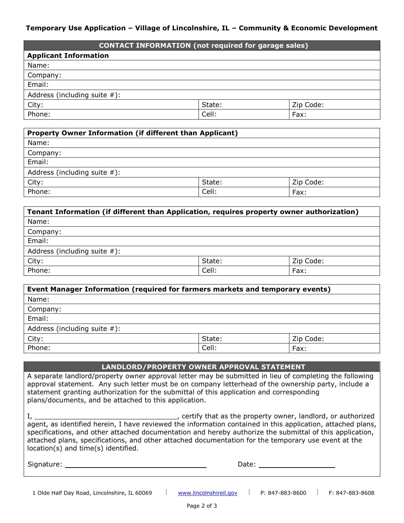#### **Temporary Use Application – Village of Lincolnshire, IL – Community & Economic Development**

| <b>CONTACT INFORMATION (not required for garage sales)</b> |        |           |  |  |
|------------------------------------------------------------|--------|-----------|--|--|
| <b>Applicant Information</b>                               |        |           |  |  |
| Name:                                                      |        |           |  |  |
| Company:                                                   |        |           |  |  |
| Email:                                                     |        |           |  |  |
| Address (including suite $#$ ):                            |        |           |  |  |
| City:                                                      | State: | Zip Code: |  |  |
| Phone:<br>Cell:<br>Fax:                                    |        |           |  |  |

| Property Owner Information (if different than Applicant) |        |           |  |  |  |
|----------------------------------------------------------|--------|-----------|--|--|--|
| Name:                                                    |        |           |  |  |  |
| Company:                                                 |        |           |  |  |  |
| Email:                                                   |        |           |  |  |  |
| Address (including suite $#$ ):                          |        |           |  |  |  |
| City:                                                    | State: | Zip Code: |  |  |  |
| Phone:                                                   | Cell:  | Fax:      |  |  |  |

| Tenant Information (if different than Application, requires property owner authorization) |        |           |  |  |  |
|-------------------------------------------------------------------------------------------|--------|-----------|--|--|--|
| Name:                                                                                     |        |           |  |  |  |
| Company:                                                                                  |        |           |  |  |  |
| Email:                                                                                    |        |           |  |  |  |
| Address (including suite $#$ ):                                                           |        |           |  |  |  |
| City:                                                                                     | State: | Zip Code: |  |  |  |
| Phone:                                                                                    | Cell:  | Fax:      |  |  |  |

| Event Manager Information (required for farmers markets and temporary events) |        |           |  |  |  |
|-------------------------------------------------------------------------------|--------|-----------|--|--|--|
| Name:                                                                         |        |           |  |  |  |
| Company:                                                                      |        |           |  |  |  |
| Email:                                                                        |        |           |  |  |  |
| Address (including suite $#$ ):                                               |        |           |  |  |  |
| City:                                                                         | State: | Zip Code: |  |  |  |
| Phone:                                                                        | Cell:  | Fax:      |  |  |  |

#### **LANDLORD/PROPERTY OWNER APPROVAL STATEMENT**

A separate landlord/property owner approval letter may be submitted in lieu of completing the following approval statement. Any such letter must be on company letterhead of the ownership party, include a statement granting authorization for the submittal of this application and corresponding plans/documents, and be attached to this application.

| , certify that as the property owner, landlord, or authorized                                               |  |
|-------------------------------------------------------------------------------------------------------------|--|
| agent, as identified herein, I have reviewed the information contained in this application, attached plans, |  |
| specifications, and other attached documentation and hereby authorize the submittal of this application,    |  |
| attached plans, specifications, and other attached documentation for the temporary use event at the         |  |
| $location(s)$ and time $(s)$ identified.                                                                    |  |

| Signature: | .<br>๛๛ |  |
|------------|---------|--|
|            |         |  |